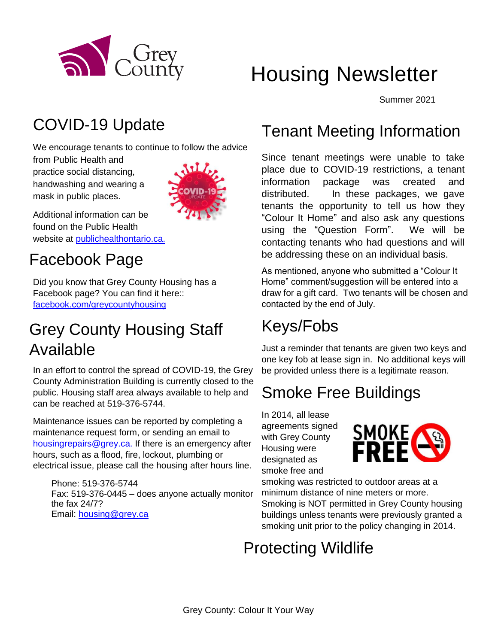

# Housing Newsletter

Summer 2021

## COVID-19 Update

We encourage tenants to continue to follow the advice

from Public Health and practice social distancing, handwashing and wearing a mask in public places.



Additional information can be found on the Public Health website at [publichealthontario.ca.](http://www.publichealthontario.ca/)

## Facebook Page

Did you know that Grey County Housing has a Facebook page? You can find it here:: [facebook.com/greycountyhousing](https://www.facebook.com/greycountyhousing)

## Grey County Housing Staff Available

In an effort to control the spread of COVID-19, the Grey County Administration Building is currently closed to the public. Housing staff area always available to help and can be reached at 519-376-5744.

Maintenance issues can be reported by completing a maintenance request form, or sending an email to [housingrepairs@grey.ca.](mailto:housingrepairs@grey.ca) If there is an emergency after hours, such as a flood, fire, lockout, plumbing or electrical issue, please call the housing after hours line.

Phone: 519-376-5744 Fax: 519-376-0445 – does anyone actually monitor the fax 24/7? Email: [housing@grey.ca](mailto:housing@grey.ca)

## Tenant Meeting Information

Since tenant meetings were unable to take place due to COVID-19 restrictions, a tenant information package was created and distributed. In these packages, we gave tenants the opportunity to tell us how they "Colour It Home" and also ask any questions using the "Question Form". We will be contacting tenants who had questions and will be addressing these on an individual basis.

As mentioned, anyone who submitted a "Colour It Home" comment/suggestion will be entered into a draw for a gift card. Two tenants will be chosen and contacted by the end of July.

# Keys/Fobs

Just a reminder that tenants are given two keys and one key fob at lease sign in. No additional keys will be provided unless there is a legitimate reason.

## Smoke Free Buildings

In 2014, all lease agreements signed with Grey County Housing were designated as smoke free and



smoking was restricted to outdoor areas at a minimum distance of nine meters or more. Smoking is NOT permitted in Grey County housing buildings unless tenants were previously granted a smoking unit prior to the policy changing in 2014.

## Protecting Wildlife